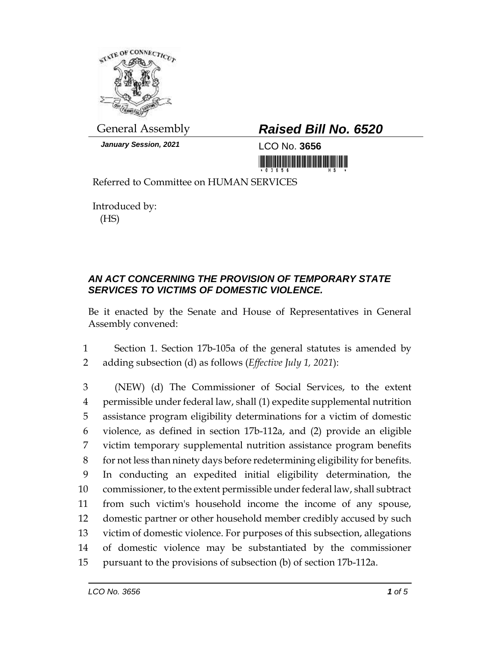

*January Session, 2021* LCO No. **3656**

## General Assembly *Raised Bill No. 6520*

<u> III MARIJI MATIJI MATIJI MATIJI MATIJI MATIJI MATIJI MATIJI MATIJI MATIJI MATIJI MATIJI MATIJI MATIJI MATIJI M</u>

Referred to Committee on HUMAN SERVICES

Introduced by: (HS)

## *AN ACT CONCERNING THE PROVISION OF TEMPORARY STATE SERVICES TO VICTIMS OF DOMESTIC VIOLENCE.*

Be it enacted by the Senate and House of Representatives in General Assembly convened:

1 Section 1. Section 17b-105a of the general statutes is amended by 2 adding subsection (d) as follows (*Effective July 1, 2021*):

 (NEW) (d) The Commissioner of Social Services, to the extent permissible under federal law, shall (1) expedite supplemental nutrition assistance program eligibility determinations for a victim of domestic violence, as defined in section 17b-112a, and (2) provide an eligible victim temporary supplemental nutrition assistance program benefits for not less than ninety days before redetermining eligibility for benefits. In conducting an expedited initial eligibility determination, the commissioner, to the extent permissible under federal law, shall subtract from such victim's household income the income of any spouse, domestic partner or other household member credibly accused by such victim of domestic violence. For purposes of this subsection, allegations of domestic violence may be substantiated by the commissioner pursuant to the provisions of subsection (b) of section 17b-112a.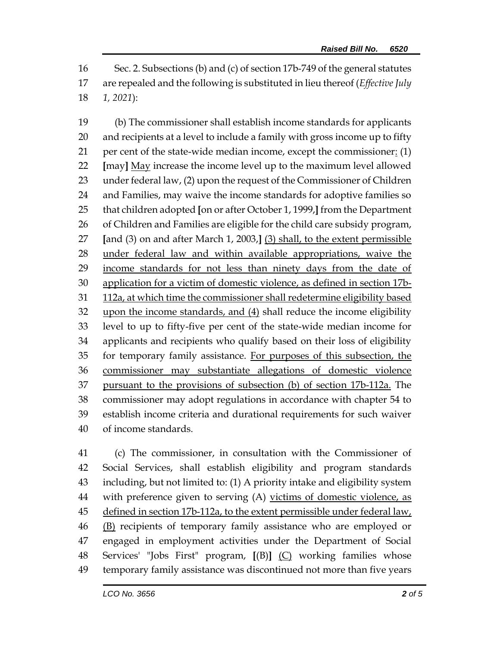Sec. 2. Subsections (b) and (c) of section 17b-749 of the general statutes are repealed and the following is substituted in lieu thereof (*Effective July 1, 2021*):

 (b) The commissioner shall establish income standards for applicants and recipients at a level to include a family with gross income up to fifty per cent of the state-wide median income, except the commissioner: (1) **[**may**]** May increase the income level up to the maximum level allowed under federal law, (2) upon the request of the Commissioner of Children and Families, may waive the income standards for adoptive families so that children adopted **[**on or after October 1, 1999,**]** from the Department of Children and Families are eligible for the child care subsidy program, **[**and (3) on and after March 1, 2003,**]** (3) shall, to the extent permissible under federal law and within available appropriations, waive the 29 income standards for not less than ninety days from the date of application for a victim of domestic violence, as defined in section 17b- 112a, at which time the commissioner shall redetermine eligibility based upon the income standards, and (4) shall reduce the income eligibility level to up to fifty-five per cent of the state-wide median income for applicants and recipients who qualify based on their loss of eligibility for temporary family assistance. For purposes of this subsection, the commissioner may substantiate allegations of domestic violence pursuant to the provisions of subsection (b) of section 17b-112a. The commissioner may adopt regulations in accordance with chapter 54 to establish income criteria and durational requirements for such waiver of income standards.

 (c) The commissioner, in consultation with the Commissioner of Social Services, shall establish eligibility and program standards including, but not limited to: (1) A priority intake and eligibility system 44 with preference given to serving (A) victims of domestic violence, as 45 defined in section 17b-112a, to the extent permissible under federal law, (B) recipients of temporary family assistance who are employed or engaged in employment activities under the Department of Social Services' "Jobs First" program, **[**(B)**]** (C) working families whose temporary family assistance was discontinued not more than five years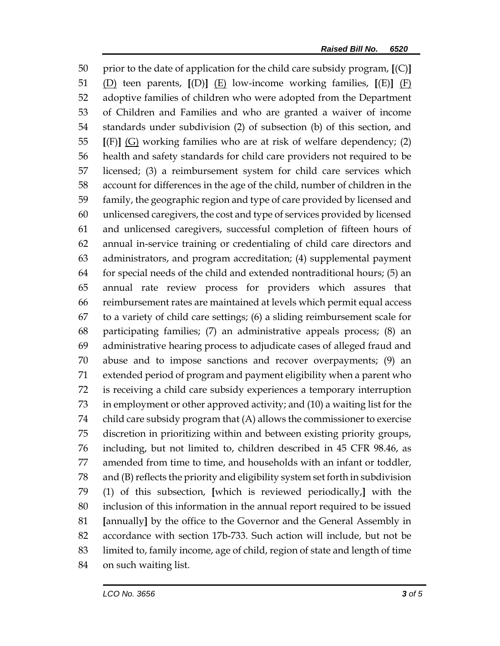prior to the date of application for the child care subsidy program, **[**(C)**]** (D) teen parents, **[**(D)**]** (E) low-income working families, **[**(E)**]** (F) adoptive families of children who were adopted from the Department of Children and Families and who are granted a waiver of income standards under subdivision (2) of subsection (b) of this section, and **[**(F)**]** (G) working families who are at risk of welfare dependency; (2) health and safety standards for child care providers not required to be licensed; (3) a reimbursement system for child care services which account for differences in the age of the child, number of children in the family, the geographic region and type of care provided by licensed and unlicensed caregivers, the cost and type of services provided by licensed and unlicensed caregivers, successful completion of fifteen hours of annual in-service training or credentialing of child care directors and administrators, and program accreditation; (4) supplemental payment for special needs of the child and extended nontraditional hours; (5) an annual rate review process for providers which assures that reimbursement rates are maintained at levels which permit equal access to a variety of child care settings; (6) a sliding reimbursement scale for participating families; (7) an administrative appeals process; (8) an administrative hearing process to adjudicate cases of alleged fraud and abuse and to impose sanctions and recover overpayments; (9) an extended period of program and payment eligibility when a parent who is receiving a child care subsidy experiences a temporary interruption in employment or other approved activity; and (10) a waiting list for the child care subsidy program that (A) allows the commissioner to exercise discretion in prioritizing within and between existing priority groups, including, but not limited to, children described in 45 CFR 98.46, as amended from time to time, and households with an infant or toddler, and (B) reflects the priority and eligibility system set forth in subdivision (1) of this subsection, **[**which is reviewed periodically,**]** with the inclusion of this information in the annual report required to be issued **[**annually**]** by the office to the Governor and the General Assembly in accordance with section 17b-733. Such action will include, but not be limited to, family income, age of child, region of state and length of time on such waiting list.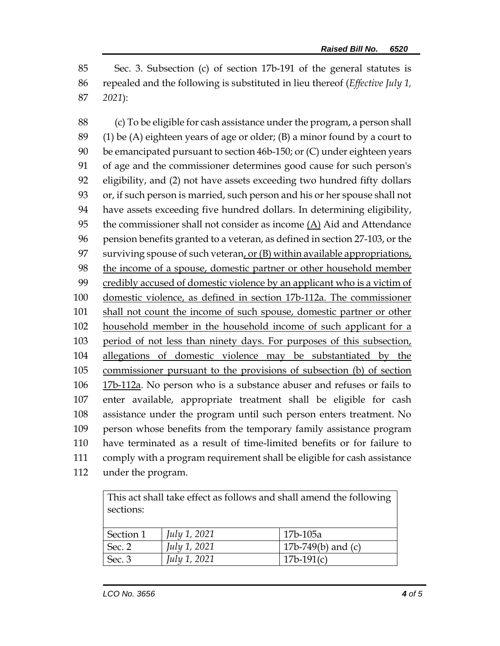Sec. 3. Subsection (c) of section 17b-191 of the general statutes is repealed and the following is substituted in lieu thereof (*Effective July 1, 2021*):

 (c) To be eligible for cash assistance under the program, a person shall  $(1)$  be (A) eighteen years of age or older; (B) a minor found by a court to be emancipated pursuant to section 46b-150; or (C) under eighteen years of age and the commissioner determines good cause for such person's eligibility, and (2) not have assets exceeding two hundred fifty dollars or, if such person is married, such person and his or her spouse shall not have assets exceeding five hundred dollars. In determining eligibility, the commissioner shall not consider as income (A) Aid and Attendance pension benefits granted to a veteran, as defined in section 27-103, or the 97 surviving spouse of such veteran, or  $(B)$  within available appropriations, the income of a spouse, domestic partner or other household member credibly accused of domestic violence by an applicant who is a victim of domestic violence, as defined in section 17b-112a. The commissioner 101 shall not count the income of such spouse, domestic partner or other household member in the household income of such applicant for a period of not less than ninety days. For purposes of this subsection, allegations of domestic violence may be substantiated by the commissioner pursuant to the provisions of subsection (b) of section 17b-112a. No person who is a substance abuser and refuses or fails to enter available, appropriate treatment shall be eligible for cash assistance under the program until such person enters treatment. No person whose benefits from the temporary family assistance program have terminated as a result of time-limited benefits or for failure to comply with a program requirement shall be eligible for cash assistance under the program.

This act shall take effect as follows and shall amend the following sections:

| Section 1      | July 1, 2021        | 17b-105a             |
|----------------|---------------------|----------------------|
| $\vert$ Sec. 2 | July 1, 2021        | 17b-749(b) and $(c)$ |
| Sec. $3$       | <i>July 1, 2021</i> | $17b-191(c)$         |